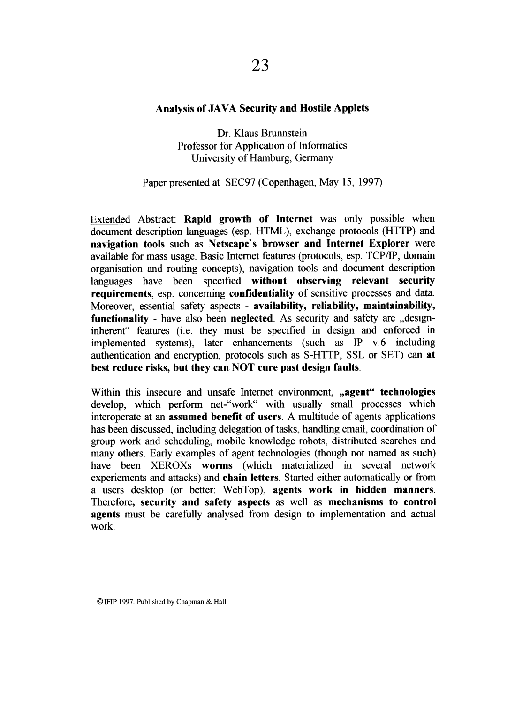## **Analysis of JAVA Security and Hostile Applets**

Dr. Klaus Brunnstein Professor for Application of Informatics University of Hamburg, Germany

## Paper presented at SEC97 (Copenhagen, May 15, 1997)

Extended Abstract: **Rapid growth of Internet** was only possible when document description languages (esp. HTML), exchange protocols (HTTP) and **navigation tools** such as **Netscape's browser and Internet Explorer** were available for mass usage. Basic Internet features (protocols, esp. TCPIIP, domain organisation and routing concepts), navigation tools and document description languages have been specified **without observing relevant security requirements,** esp. concerning **confidentiality** of sensitive processes and data. Moreover, essential safety aspects - **availability, reliability, maintainability, functionality** - have also been **neglected.** As security and safety are ,designinherent" features (i.e. they must be specified in design and enforced in implemented systems), later enhancements (such as IP v.6 including authentication and encryption, protocols such as S-HTTP, SSL or SET) can **at best reduce risks, but they can NOT cure past design faults.** 

Within this insecure and unsafe Internet environment, **,agent" technologies**  develop, which perform net-"work" with usually small processes which interoperate at an **assumed benefit of users**. A multitude of agents applications has been discussed, including delegation of tasks, handling email, coordination of group work and scheduling, mobile knowledge robots, distributed searches and many others. Early examples of agent technologies (though not named as such) have been XEROXs **worms** (which materialized in several network experiements and attacks) and **chain letters.** Started either automatically or from a users desktop (or better: WebTop), **agents work in hidden manners.**  Therefore, **security and safety aspects** as well as **mechanisms to control agents** must be carefully analysed from design to implementation and actual work.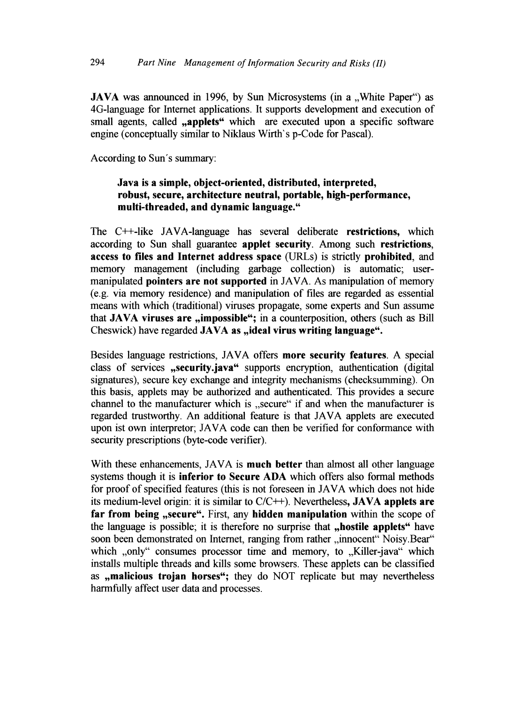JAVA was announced in 1996, by Sun Microsystems (in a "White Paper") as 4G-language for Internet applications. It supports development and execution of small agents, called "applets" which are executed upon a specific software engine (conceptually similar to Niklaus Wirth's p-Code for Pascal).

According to Sun's summary:

## Java is a simple, object-oriented, distributed, interpreted, robust, secure, architecture neutral, portable, high-performance, multi-threaded, and dynamic language."

The C++-like JAVA-language has several deliberate restrictions, which according to Sun shall guarantee applet security. Among such restrictions, access to files and Internet address space (URLs) is strictly prohibited, and memory management (including garbage collection) is automatic; usermanipulated pointers are not supported in JAVA. As manipulation of memory (e.g. via memory residence) and manipulation of files are regarded as essential means with which (traditional) viruses propagate, some experts and Sun assume that JAVA viruses are ,impossible"; in a counterposition, others (such as Bill Cheswick) have regarded JAVA as "ideal virus writing language".

Besides language restrictions, JAVA offers more security features. A special class of services ,security.java" supports encryption, authentication (digital signatures), secure key exchange and integrity mechanisms (checksumming). On this basis, applets may be authorized and authenticated. This provides a secure channel to the manufacturer which is "secure" if and when the manufacturer is regarded trustworthy. An additional feature is that JAVA applets are executed upon ist own interpretor; JAVA code can then be verified for conformance with security prescriptions (byte-code verifier).

With these enhancements, JAVA is **much better** than almost all other language systems though it is inferior to Secure ADA which offers also formal methods for proof of specified features (this is not foreseen in JAVA which does not hide its medium-level origin: it is similar to  $C/C++$ ). Nevertheless, **JAVA applets are** far from being "secure". First, any hidden manipulation within the scope of the language is possible; it is therefore no surprise that ,hostile applets" have soon been demonstrated on Internet, ranging from rather "innocent" Noisy.Bear" which "only" consumes processor time and memory, to "Killer-java" which installs multiple threads and kills some browsers. These applets can be classified as ,malicious trojan horses"; they do NOT replicate but may nevertheless harmfully affect user data and processes.